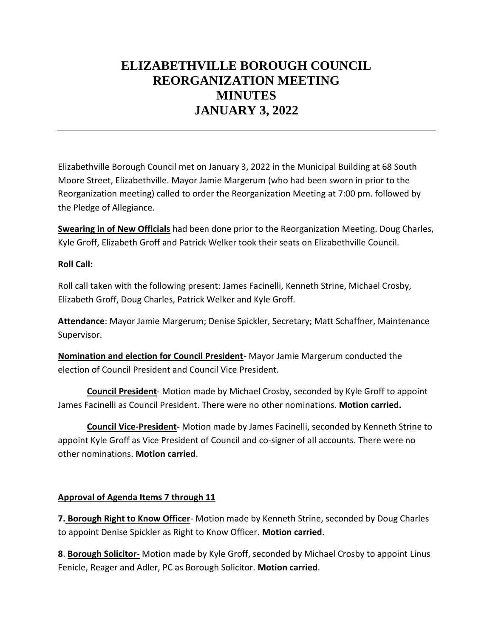## **ELIZABETHVILLE BOROUGH COUNCIL REORGANIZATION MEETING MINUTES JANUARY 3, 2022**

Elizabethville Borough Council met on January 3, 2022 in the Municipal Building at 68 South Moore Street, Elizabethville. Mayor Jamie Margerum (who had been sworn in prior to the Reorganization meeting) called to order the Reorganization Meeting at 7:00 pm. followed by the Pledge of Allegiance.

**Swearing in of New Officials** had been done prior to the Reorganization Meeting. Doug Charles, Kyle Groff, Elizabeth Groff and Patrick Welker took their seats on Elizabethville Council.

## **Roll Call:**

Roll call taken with the following present: James Facinelli, Kenneth Strine, Michael Crosby, Elizabeth Groff, Doug Charles, Patrick Welker and Kyle Groff.

**Attendance**: Mayor Jamie Margerum; Denise Spickler, Secretary; Matt Schaffner, Maintenance Supervisor.

**Nomination and election for Council President**- Mayor Jamie Margerum conducted the election of Council President and Council Vice President.

**Council President**- Motion made by Michael Crosby, seconded by Kyle Groff to appoint James Facinelli as Council President. There were no other nominations. **Motion carried.**

**Council Vice-President-** Motion made by James Facinelli, seconded by Kenneth Strine to appoint Kyle Groff as Vice President of Council and co-signer of all accounts. There were no other nominations. **Motion carried**.

## **Approval of Agenda Items 7 through 11**

**7. Borough Right to Know Officer**- Motion made by Kenneth Strine, seconded by Doug Charles to appoint Denise Spickler as Right to Know Officer. **Motion carried**.

**8**. **Borough Solicitor-** Motion made by Kyle Groff, seconded by Michael Crosby to appoint Linus Fenicle, Reager and Adler, PC as Borough Solicitor. **Motion carried**.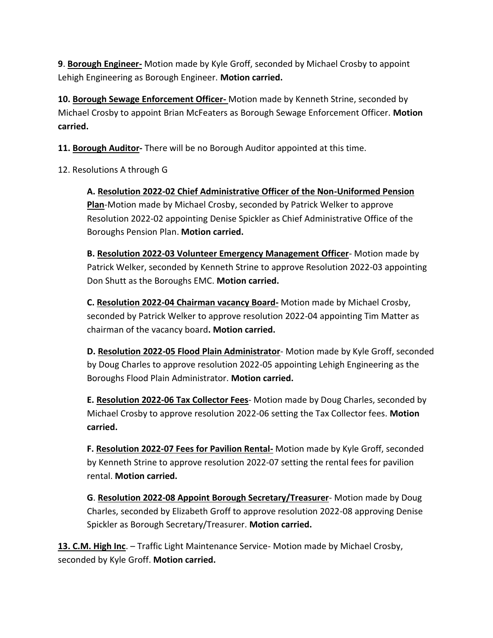**9**. **Borough Engineer-** Motion made by Kyle Groff, seconded by Michael Crosby to appoint Lehigh Engineering as Borough Engineer. **Motion carried.**

**10. Borough Sewage Enforcement Officer-** Motion made by Kenneth Strine, seconded by Michael Crosby to appoint Brian McFeaters as Borough Sewage Enforcement Officer. **Motion carried.** 

**11. Borough Auditor-** There will be no Borough Auditor appointed at this time.

12. Resolutions A through G

**A. Resolution 2022-02 Chief Administrative Officer of the Non-Uniformed Pension Plan**-Motion made by Michael Crosby, seconded by Patrick Welker to approve Resolution 2022-02 appointing Denise Spickler as Chief Administrative Office of the Boroughs Pension Plan. **Motion carried.**

**B. Resolution 2022-03 Volunteer Emergency Management Officer**- Motion made by Patrick Welker, seconded by Kenneth Strine to approve Resolution 2022-03 appointing Don Shutt as the Boroughs EMC. **Motion carried.** 

**C. Resolution 2022-04 Chairman vacancy Board-** Motion made by Michael Crosby, seconded by Patrick Welker to approve resolution 2022-04 appointing Tim Matter as chairman of the vacancy board**. Motion carried.**

**D. Resolution 2022-05 Flood Plain Administrator**- Motion made by Kyle Groff, seconded by Doug Charles to approve resolution 2022-05 appointing Lehigh Engineering as the Boroughs Flood Plain Administrator. **Motion carried.**

**E. Resolution 2022-06 Tax Collector Fees**- Motion made by Doug Charles, seconded by Michael Crosby to approve resolution 2022-06 setting the Tax Collector fees. **Motion carried.**

**F. Resolution 2022-07 Fees for Pavilion Rental-** Motion made by Kyle Groff, seconded by Kenneth Strine to approve resolution 2022-07 setting the rental fees for pavilion rental. **Motion carried.**

**G**. **Resolution 2022-08 Appoint Borough Secretary/Treasurer**- Motion made by Doug Charles, seconded by Elizabeth Groff to approve resolution 2022-08 approving Denise Spickler as Borough Secretary/Treasurer. **Motion carried.**

**13. C.M. High Inc**. – Traffic Light Maintenance Service- Motion made by Michael Crosby, seconded by Kyle Groff. **Motion carried.**